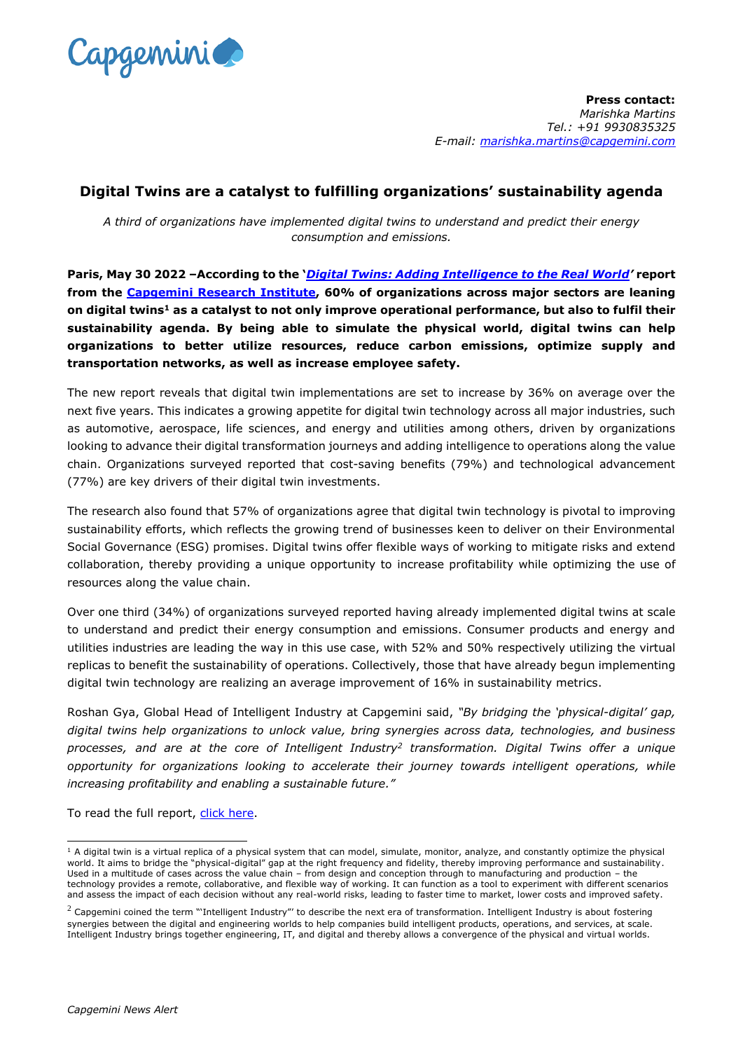

**Press contact:** *Marishka Martins Tel.: +91 9930835325 E-mail: [marishka.martins@capgemini.com](mailto:marishka.martins@capgemini.com)*

## **Digital Twins are a catalyst to fulfilling organizations' sustainability agenda**

*A third of organizations have implemented digital twins to understand and predict their energy consumption and emissions.*

**Paris, May 30 2022 –According to the '***[Digital Twins: Adding Intelligence to the Real World](https://www.capgemini.com/insights/research-library/digital-twins/?utm_source=pr&utm_medium=referral&utm_content=intelligentindustry_none_link_pressrelease_none&utm_campaign=intelligent-industry_digital-twins)'* **report from the Capgemini [Research Institute,](https://www.capgemini.com/researchinstitute/) 60% of organizations across major sectors are leaning on digital twins<sup>1</sup> as a catalyst to not only improve operational performance, but also to fulfil their sustainability agenda. By being able to simulate the physical world, digital twins can help organizations to better utilize resources, reduce carbon emissions, optimize supply and transportation networks, as well as increase employee safety.**

The new report reveals that digital twin implementations are set to increase by 36% on average over the next five years. This indicates a growing appetite for digital twin technology across all major industries, such as automotive, aerospace, life sciences, and energy and utilities among others, driven by organizations looking to advance their digital transformation journeys and adding intelligence to operations along the value chain. Organizations surveyed reported that cost-saving benefits (79%) and technological advancement (77%) are key drivers of their digital twin investments.

The research also found that 57% of organizations agree that digital twin technology is pivotal to improving sustainability efforts, which reflects the growing trend of businesses keen to deliver on their Environmental Social Governance (ESG) promises. Digital twins offer flexible ways of working to mitigate risks and extend collaboration, thereby providing a unique opportunity to increase profitability while optimizing the use of resources along the value chain.

Over one third (34%) of organizations surveyed reported having already implemented digital twins at scale to understand and predict their energy consumption and emissions. Consumer products and energy and utilities industries are leading the way in this use case, with 52% and 50% respectively utilizing the virtual replicas to benefit the sustainability of operations. Collectively, those that have already begun implementing digital twin technology are realizing an average improvement of 16% in sustainability metrics.

Roshan Gya, Global Head of Intelligent Industry at Capgemini said, *"By bridging the 'physical-digital' gap, digital twins help organizations to unlock value, bring synergies across data, technologies, and business processes, and are at the core of Intelligent Industry<sup>2</sup> transformation. Digital Twins offer a unique opportunity for organizations looking to accelerate their journey towards intelligent operations, while increasing profitability and enabling a sustainable future."* 

To read the full report, [click here.](https://www.capgemini.com/insights/research-library/digital-twins/?utm_source=pr&utm_medium=referral&utm_content=intelligentindustry_none_link_pressrelease_none&utm_campaign=intelligent-industry_digital-twins)

-

 $1$  A digital twin is a virtual replica of a physical system that can model, simulate, monitor, analyze, and constantly optimize the physical world. It aims to bridge the "physical-digital" gap at the right frequency and fidelity, thereby improving performance and sustainability. Used in a multitude of cases across the value chain – from design and conception through to manufacturing and production – the technology provides a remote, collaborative, and flexible way of working. It can function as a tool to experiment with different scenarios and assess the impact of each decision without any real-world risks, leading to faster time to market, lower costs and improved safety.

 $^2$  Capgemini coined the term "'Intelligent Industry"' to describe the next era of transformation. Intelligent Industry is about fostering synergies between the digital and engineering worlds to help companies build intelligent products, operations, and services, at scale. Intelligent Industry brings together engineering, IT, and digital and thereby allows a convergence of the physical and virtual worlds.